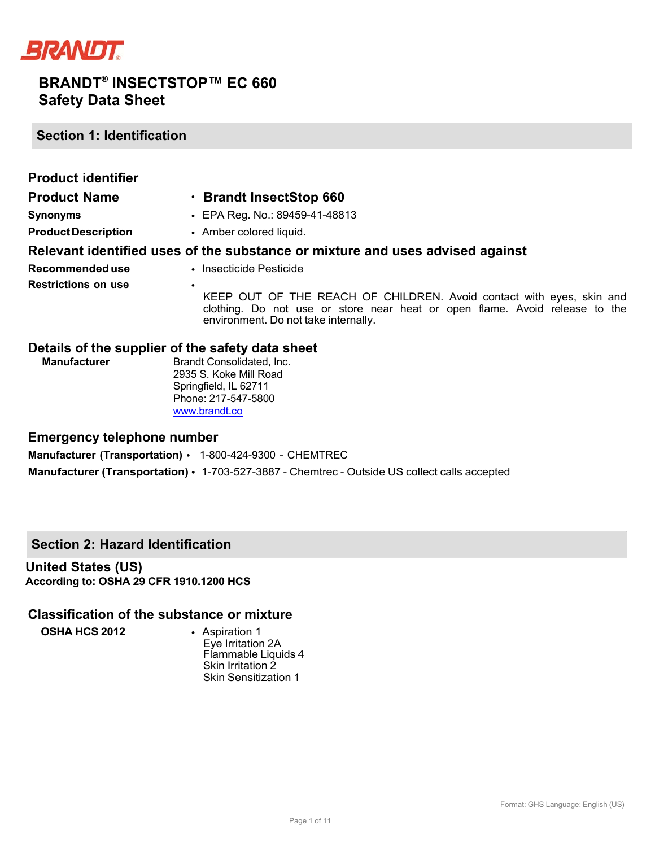

**Section 1: Identification**

| <b>Product identifier</b>  |                                                                                                                                                                                                          |
|----------------------------|----------------------------------------------------------------------------------------------------------------------------------------------------------------------------------------------------------|
| <b>Product Name</b>        | · Brandt InsectStop 660                                                                                                                                                                                  |
| <b>Synonyms</b>            | • EPA Reg. No.: 89459-41-48813                                                                                                                                                                           |
| <b>Product Description</b> | • Amber colored liquid.                                                                                                                                                                                  |
|                            | Relevant identified uses of the substance or mixture and uses advised against                                                                                                                            |
| Recommended use            | • Insecticide Pesticide                                                                                                                                                                                  |
| <b>Restrictions on use</b> | $\bullet$<br>KEEP OUT OF THE REACH OF CHILDREN. Avoid contact with eyes, skin and<br>clothing. Do not use or store near heat or open flame. Avoid release to the<br>environment. Do not take internally. |

### **Details of the supplier of the safety data sheet**

| <b>Manufacturer</b> | Brandt Consolidated. Inc. |
|---------------------|---------------------------|
|                     | 2935 S. Koke Mill Road    |
|                     | Springfield, IL 62711     |
|                     | Phone: 217-547-5800       |
|                     | www.brandt.co             |

#### **Emergency telephone number**

**Manufacturer (Transportation)** • 1-800-424-9300 - CHEMTREC **Manufacturer (Transportation)** • 1-703-527-3887 - Chemtrec - Outside US collect calls accepted

## **Section 2: Hazard Identification**

**United States (US) According to: OSHA 29 CFR 1910.1200 HCS**

### **Classification of the substance or mixture**

**OSHA HCS 2012** • Aspiration 1

Eye Irritation 2A Flammable Liquids 4 Skin Irritation 2 Skin Sensitization 1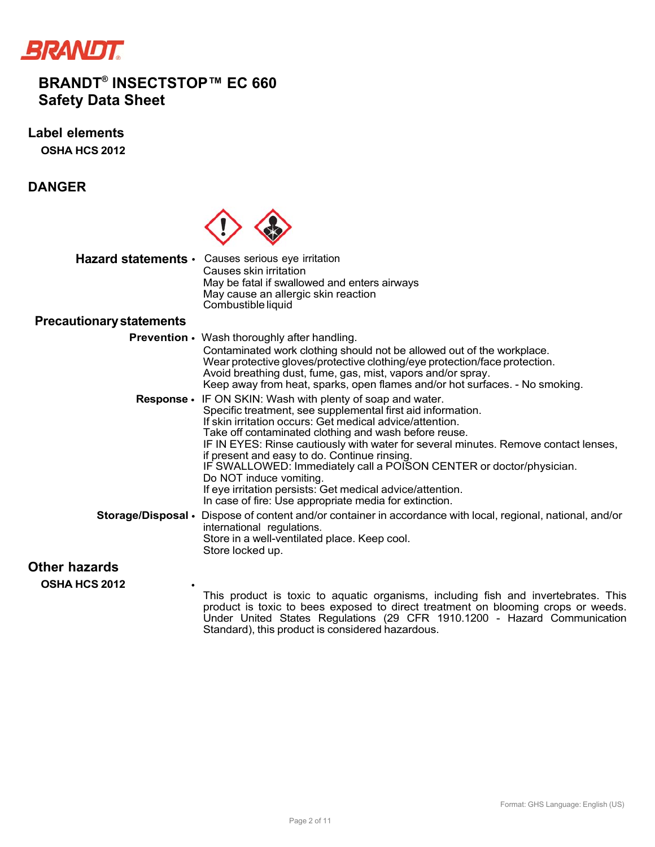

**Label elements OSHA HCS 2012**

**DANGER**



**Hazard statements** • Causes serious eye irritation Causes skin irritation May be fatal if swallowed and enters airways May cause an allergic skin reaction Combustible liquid

### **Precautionary statements**

**Prevention** • Wash thoroughly after handling. Contaminated work clothing should not be allowed out of the workplace. Wear protective gloves/protective clothing/eye protection/face protection. Avoid breathing dust, fume, gas, mist, vapors and/or spray. Keep away from heat, sparks, open flames and/or hot surfaces. - No smoking. **Response** • IF ON SKIN: Wash with plenty of soap and water. Specific treatment, see supplemental first aid information. If skin irritation occurs: Get medical advice/attention. Take off contaminated clothing and wash before reuse. IF IN EYES: Rinse cautiously with water for several minutes. Remove contact lenses, if present and easy to do. Continue rinsing. IF SWALLOWED: Immediately call a POISON CENTER or doctor/physician. Do NOT induce vomiting. If eye irritation persists: Get medical advice/attention. In case of fire: Use appropriate media for extinction. **Storage/Disposal** • Dispose of content and/or container in accordance with local, regional, national, and/or international regulations. Store in a well-ventilated place. Keep cool. Store locked up.

## **Other hazards**

**OSHA HCS 2012** •

This product is toxic to aquatic organisms, including fish and invertebrates. This product is toxic to bees exposed to direct treatment on blooming crops or weeds. Under United States Regulations (29 CFR 1910.1200 - Hazard Communication Standard), this product is considered hazardous.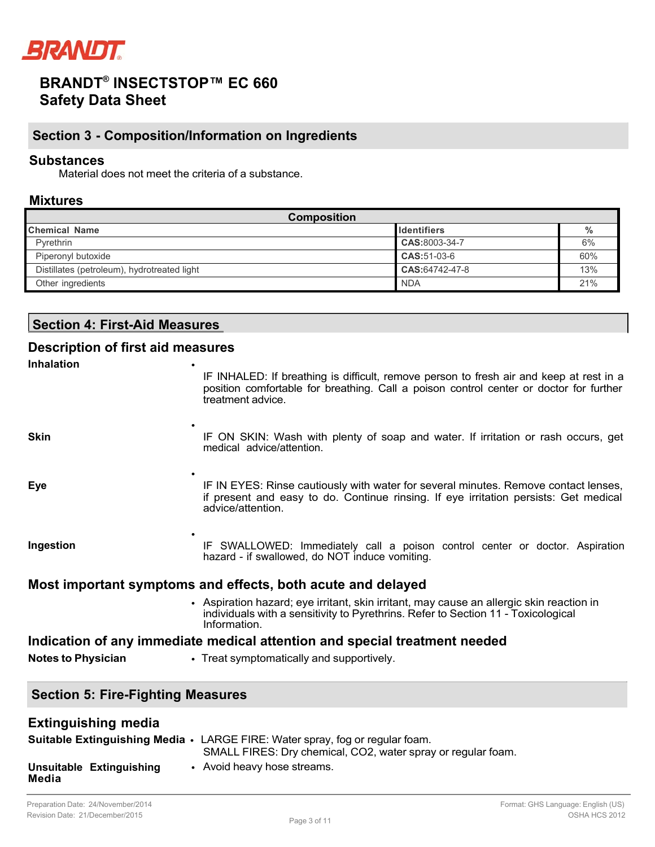

## **Section 3 - Composition/Information on Ingredients**

### **Substances**

Material does not meet the criteria of a substance.

#### **Mixtures**

| <b>Composition</b>                          |                    |     |  |  |
|---------------------------------------------|--------------------|-----|--|--|
| <b>Chemical Name</b>                        | <b>Identifiers</b> | %   |  |  |
| Pyrethrin                                   | CAS:8003-34-7      | 6%  |  |  |
| Piperonyl butoxide                          | CAS:51-03-6        | 60% |  |  |
| Distillates (petroleum), hydrotreated light | CAS:64742-47-8     | 13% |  |  |
| Other ingredients                           | <b>NDA</b>         | 21% |  |  |

## **Section 4: First-Aid Measures**

### **Description of first aid measures Inhalation** • IF INHALED: If breathing is difficult, remove person to fresh air and keep at rest in a position comfortable for breathing. Call a poison control center or doctor for further treatment advice. **Skin** • IF ON SKIN: Wash with plenty of soap and water. If irritation or rash occurs, get medical advice/attention. **Eye** • IF IN EYES: Rinse cautiously with water for several minutes. Remove contact lenses, if present and easy to do. Continue rinsing. If eye irritation persists: Get medical advice/attention. **Ingestion** • IF SWALLOWED: Immediately call a poison control center or doctor. Aspiration hazard - if swallowed, do NOT induce vomiting. **Most important symptoms and effects, both acute and delayed** • Aspiration hazard; eye irritant, skin irritant, may cause an allergic skin reaction in individuals with a sensitivity to Pyrethrins. Refer to Section 11 - Toxicological Information. **Indication of any immediate medical attention and special treatment needed**

**Notes to Physician** • Treat symptomatically and supportively.

## **Section 5: Fire-Fighting Measures**

| <b>Extinguishing media</b>        |                                                                                                                                                     |
|-----------------------------------|-----------------------------------------------------------------------------------------------------------------------------------------------------|
|                                   | <b>Suitable Extinguishing Media •</b> LARGE FIRE: Water spray, fog or regular foam.<br>SMALL FIRES: Dry chemical, CO2, water spray or regular foam. |
| Unsuitable Extinguishing<br>Media | • Avoid heavy hose streams.                                                                                                                         |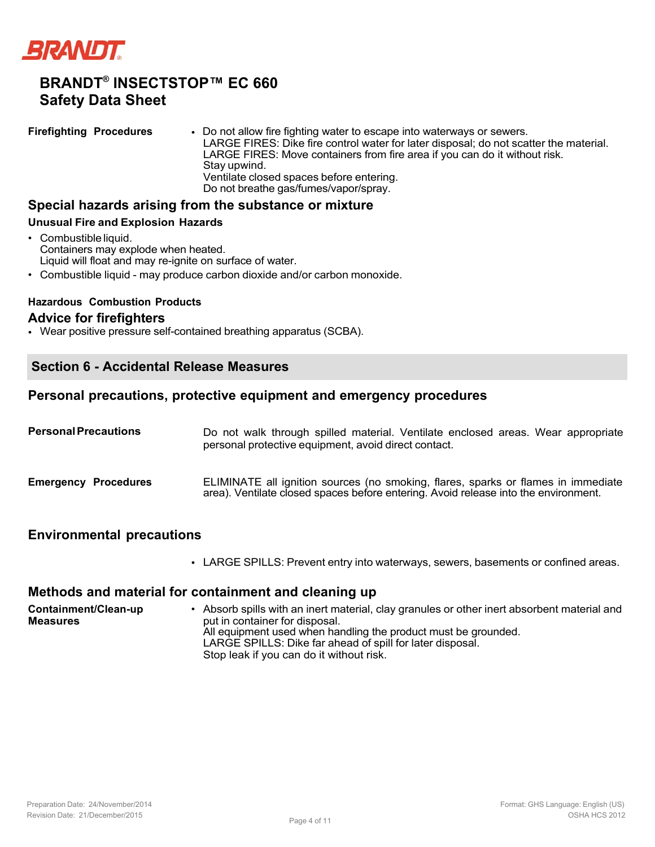

**Firefighting Procedures** • Do not allow fire fighting water to escape into waterways or sewers. LARGE FIRES: Dike fire control water for later disposal; do not scatter the material. LARGE FIRES: Move containers from fire area if you can do it without risk. Stay upwind. Ventilate closed spaces before entering. Do not breathe gas/fumes/vapor/spray.

#### **Special hazards arising from the substance or mixture**

#### **Unusual Fire and Explosion Hazards**

- Combustible liquid. Containers may explode when heated. Liquid will float and may re-ignite on surface of water.
- Combustible liquid may produce carbon dioxide and/or carbon monoxide.

#### **Hazardous Combustion Products**

#### **Advice for firefighters**

• Wear positive pressure self-contained breathing apparatus (SCBA).

## **Section 6 - Accidental Release Measures**

### **Personal precautions, protective equipment and emergency procedures**

| <b>Personal Precautions</b> | Do not walk through spilled material. Ventilate enclosed areas. Wear appropriate<br>personal protective equipment, avoid direct contact.                                 |
|-----------------------------|--------------------------------------------------------------------------------------------------------------------------------------------------------------------------|
| <b>Emergency Procedures</b> | ELIMINATE all ignition sources (no smoking, flares, sparks or flames in immediate<br>area). Ventilate closed spaces before entering. Avoid release into the environment. |

#### **Environmental precautions**

• LARGE SPILLS: Prevent entry into waterways, sewers, basements or confined areas.

### **Methods and material for containment and cleaning up**

**Containment/Clean-up Measures** • Absorb spills with an inert material, clay granules or other inert absorbent material and put in container for disposal. All equipment used when handling the product must be grounded. LARGE SPILLS: Dike far ahead of spill for later disposal. Stop leak if you can do it without risk.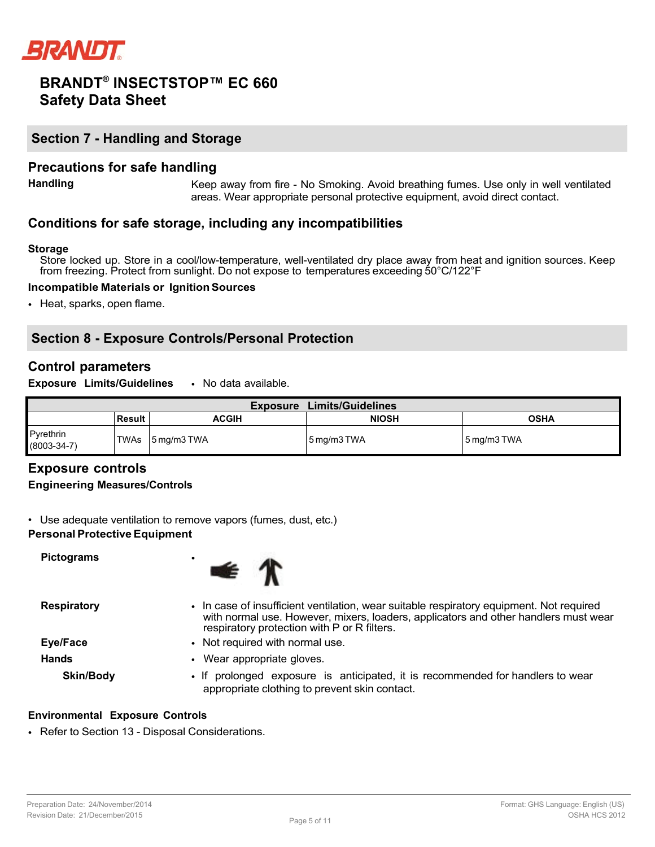

## **Section 7 - Handling and Storage**

### **Precautions for safe handling**

**Handling** Keep away from fire - No Smoking. Avoid breathing fumes. Use only in well ventilated areas. Wear appropriate personal protective equipment, avoid direct contact.

## **Conditions for safe storage, including any incompatibilities**

#### **Storage**

Store locked up. Store in a cool/low-temperature, well-ventilated dry place away from heat and ignition sources. Keep from freezing. Protect from sunlight. Do not expose to temperatures exceeding 50°C/122°F

#### **Incompatible Materials or Ignition Sources**

• Heat, sparks, open flame.

## **Section 8 - Exposure Controls/Personal Protection**

### **Control parameters**

**Exposure Limits/Guidelines** • No data available.

| <b>Limits/Guidelines</b><br><b>Exposure</b> |        |              |              |                           |  |
|---------------------------------------------|--------|--------------|--------------|---------------------------|--|
|                                             | Result | <b>ACGIH</b> | <b>NIOSH</b> | <b>OSHA</b>               |  |
| Pyrethrin<br>$(8003 - 34 - 7)$              | TWAs   | 5 mg/m3 TWA  | 5 mg/m3 TWA  | $5 \,\mathrm{mg/m}$ 3 TWA |  |

## **Exposure controls**

#### **Engineering Measures/Controls**

• Use adequate ventilation to remove vapors (fumes, dust, etc.)

#### **Personal Protective Equipment**

**Pictograms** •



**Respiratory** • In case of insufficient ventilation, wear suitable respiratory equipment. Not required with normal use. However, mixers, loaders, applicators and other handlers must wear respiratory protection with P or R filters. **Eye/Face** • Not required with normal use. **Hands** • Wear appropriate gloves. **Skin/Body** • If prolonged exposure is anticipated, it is recommended for handlers to wear appropriate clothing to prevent skin contact.

#### **Environmental Exposure Controls**

• Refer to Section 13 - Disposal Considerations.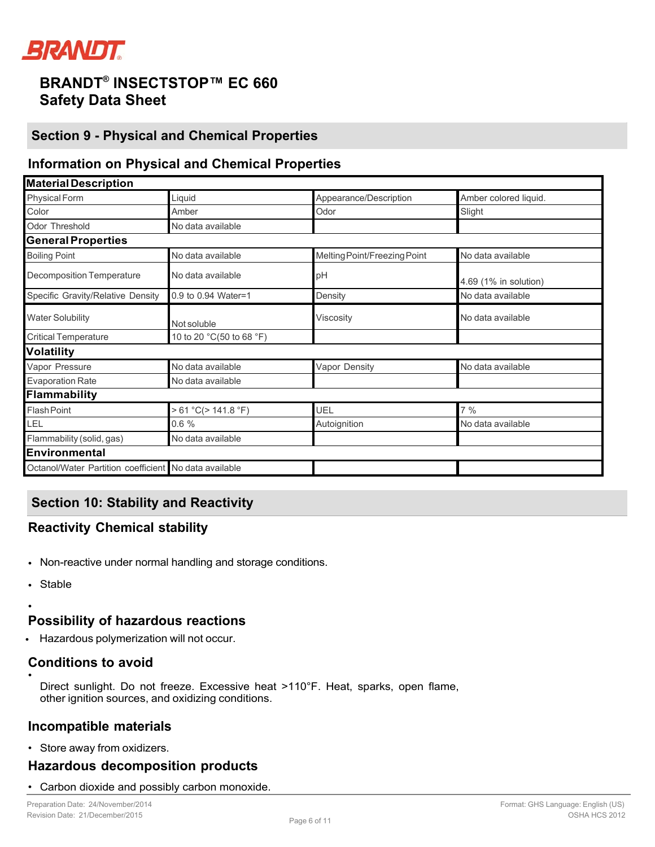

## **Section 9 - Physical and Chemical Properties**

## **Information on Physical and Chemical Properties**

| <b>Material Description</b>                           |                          |                              |                       |  |  |
|-------------------------------------------------------|--------------------------|------------------------------|-----------------------|--|--|
| <b>Physical Form</b>                                  | Liquid                   | Appearance/Description       | Amber colored liquid. |  |  |
| Color                                                 | Amber                    | Odor                         | Slight                |  |  |
| Odor Threshold                                        | No data available        |                              |                       |  |  |
| <b>General Properties</b>                             |                          |                              |                       |  |  |
| <b>Boiling Point</b>                                  | No data available        | Melting Point/Freezing Point | No data available     |  |  |
| <b>Decomposition Temperature</b>                      | No data available        | pH                           | 4.69 (1% in solution) |  |  |
| Specific Gravity/Relative Density                     | 0.9 to 0.94 Water=1      | Density                      | No data available     |  |  |
| <b>Water Solubility</b>                               | Not soluble              | <b>Viscosity</b>             | No data available     |  |  |
| <b>Critical Temperature</b>                           | 10 to 20 °C(50 to 68 °F) |                              |                       |  |  |
| <b>Volatility</b>                                     |                          |                              |                       |  |  |
| Vapor Pressure                                        | No data available        | Vapor Density                | No data available     |  |  |
| <b>Evaporation Rate</b>                               | No data available        |                              |                       |  |  |
| Flammability                                          |                          |                              |                       |  |  |
| <b>Flash Point</b>                                    | > 61 °C(> 141.8 °F)      | <b>UEL</b>                   | $7\%$                 |  |  |
| LEL                                                   | 0.6%                     | Autoignition                 | No data available     |  |  |
| Flammability (solid, gas)                             | No data available        |                              |                       |  |  |
| Environmental                                         |                          |                              |                       |  |  |
| Octanol/Water Partition coefficient No data available |                          |                              |                       |  |  |

## **Section 10: Stability and Reactivity**

# **Reactivity Chemical stability**

- Non-reactive under normal handling and storage conditions.
- Stable

•

## **Possibility of hazardous reactions**

• Hazardous polymerization will not occur.

#### **Conditions to avoid** •

Direct sunlight. Do not freeze. Excessive heat >110°F. Heat, sparks, open flame, other ignition sources, and oxidizing conditions.

## **Incompatible materials**

• Store away from oxidizers.

## **Hazardous decomposition products**

• Carbon dioxide and possibly carbon monoxide.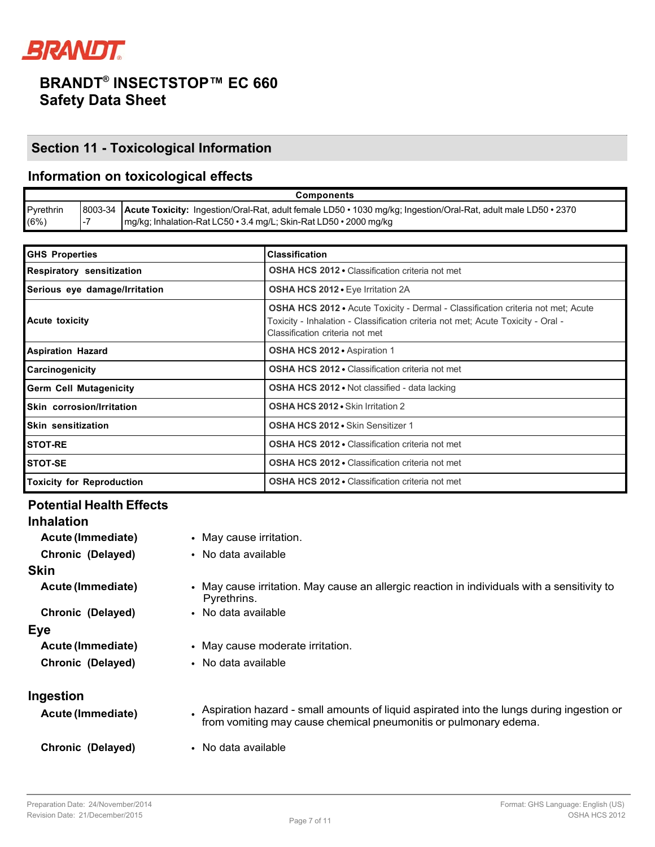

# **Section 11 - Toxicological Information**

## **Information on toxicological effects**

| <b>Components</b> |  |                                                                                                                        |  |
|-------------------|--|------------------------------------------------------------------------------------------------------------------------|--|
| Pyrethrin         |  | 8003-34 Acute Toxicity: Ingestion/Oral-Rat, adult female LD50 • 1030 mg/kg; Ingestion/Oral-Rat, adult male LD50 • 2370 |  |
| (6%)              |  | mg/kg; Inhalation-Rat LC50 • 3.4 mg/L; Skin-Rat LD50 • 2000 mg/kg                                                      |  |

| <b>GHS Properties</b>            | <b>Classification</b>                                                                                                                                                                                          |  |
|----------------------------------|----------------------------------------------------------------------------------------------------------------------------------------------------------------------------------------------------------------|--|
| Respiratory sensitization        | OSHA HCS 2012 · Classification criteria not met                                                                                                                                                                |  |
| Serious eye damage/Irritation    | <b>OSHA HCS 2012 - Eye Irritation 2A</b>                                                                                                                                                                       |  |
| <b>Acute toxicity</b>            | <b>OSHA HCS 2012 •</b> Acute Toxicity - Dermal - Classification criteria not met; Acute<br>Toxicity - Inhalation - Classification criteria not met; Acute Toxicity - Oral -<br>Classification criteria not met |  |
| <b>Aspiration Hazard</b>         | OSHA HCS 2012 · Aspiration 1                                                                                                                                                                                   |  |
| Carcinogenicity                  | <b>OSHA HCS 2012 • Classification criteria not met</b>                                                                                                                                                         |  |
| <b>Germ Cell Mutagenicity</b>    | <b>OSHA HCS 2012 •</b> Not classified - data lacking                                                                                                                                                           |  |
| Skin corrosion/Irritation        | OSHA HCS 2012 • Skin Irritation 2                                                                                                                                                                              |  |
| Skin sensitization               | <b>OSHA HCS 2012 • Skin Sensitizer 1</b>                                                                                                                                                                       |  |
| <b>STOT-RE</b>                   | <b>OSHA HCS 2012 • Classification criteria not met</b>                                                                                                                                                         |  |
| STOT-SE                          | <b>OSHA HCS 2012 • Classification criteria not met</b>                                                                                                                                                         |  |
| <b>Toxicity for Reproduction</b> | <b>OSHA HCS 2012 • Classification criteria not met</b>                                                                                                                                                         |  |

## **Potential Health Effects**

| <b>Inhalation</b>        |                                                                                                                                                              |
|--------------------------|--------------------------------------------------------------------------------------------------------------------------------------------------------------|
| Acute (Immediate)        | • May cause irritation.                                                                                                                                      |
| Chronic (Delayed)        | • No data available                                                                                                                                          |
| <b>Skin</b>              |                                                                                                                                                              |
| Acute (Immediate)        | • May cause irritation. May cause an allergic reaction in individuals with a sensitivity to<br>Pyrethrins.                                                   |
| Chronic (Delayed)        | • No data available                                                                                                                                          |
| Eye                      |                                                                                                                                                              |
| <b>Acute (Immediate)</b> | • May cause moderate irritation.                                                                                                                             |
| Chronic (Delayed)        | • No data available                                                                                                                                          |
| Ingestion                |                                                                                                                                                              |
| Acute (Immediate)        | Aspiration hazard - small amounts of liquid aspirated into the lungs during ingestion or<br>from vomiting may cause chemical pneumonitis or pulmonary edema. |
| Chronic (Delayed)        | • No data available                                                                                                                                          |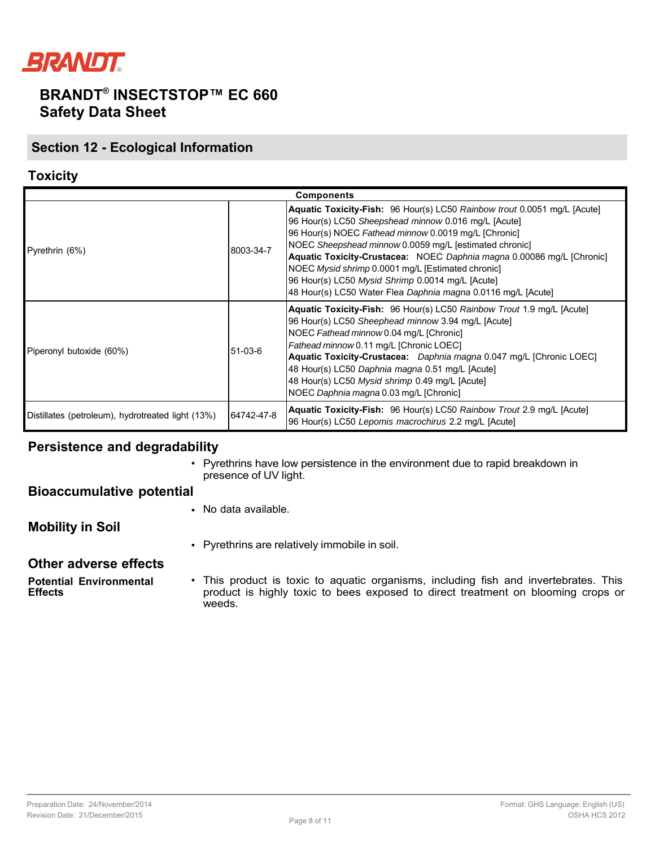

## **Section 12 - Ecological Information**

## **Toxicity**

| <b>Components</b>                                 |            |                                                                                                                                                                                                                                                                                                                                                                                                                                                                                                      |  |
|---------------------------------------------------|------------|------------------------------------------------------------------------------------------------------------------------------------------------------------------------------------------------------------------------------------------------------------------------------------------------------------------------------------------------------------------------------------------------------------------------------------------------------------------------------------------------------|--|
| Pyrethrin (6%)                                    | 8003-34-7  | Aquatic Toxicity-Fish: 96 Hour(s) LC50 Rainbow trout 0.0051 mg/L [Acute]<br>96 Hour(s) LC50 Sheepshead minnow 0.016 mg/L [Acute]<br>96 Hour(s) NOEC Fathead minnow 0.0019 mg/L [Chronic]<br>NOEC Sheepshead minnow 0.0059 mg/L [estimated chronic]<br>Aquatic Toxicity-Crustacea: NOEC Daphnia magna 0.00086 mg/L [Chronic]<br>NOEC Mysid shrimp 0.0001 mg/L [Estimated chronic]<br>96 Hour(s) LC50 Mysid Shrimp 0.0014 mg/L [Acute]<br>48 Hour(s) LC50 Water Flea Daphnia magna 0.0116 mg/L [Acute] |  |
| Piperonyl butoxide (60%)                          | 51-03-6    | <b>Aquatic Toxicity-Fish:</b> 96 Hour(s) LC50 Rainbow Trout 1.9 mg/L [Acute]<br>96 Hour(s) LC50 Sheephead minnow 3.94 mg/L [Acute]<br>NOEC Fathead minnow 0.04 mg/L [Chronic]<br>Fathead minnow 0.11 mg/L [Chronic LOEC]<br>Aquatic Toxicity-Crustacea: Daphnia magna 0.047 mg/L [Chronic LOEC]<br>48 Hour(s) LC50 Daphnia magna 0.51 mg/L [Acute]<br>48 Hour(s) LC50 Mysid shrimp 0.49 mg/L [Acute]<br>NOEC Daphnia magna 0.03 mg/L [Chronic]                                                       |  |
| Distillates (petroleum), hydrotreated light (13%) | 64742-47-8 | Aquatic Toxicity-Fish: 96 Hour(s) LC50 Rainbow Trout 2.9 mg/L [Acute]<br>96 Hour(s) LC50 Lepomis macrochirus 2.2 mg/L [Acute]                                                                                                                                                                                                                                                                                                                                                                        |  |

### **Persistence and degradability**

• Pyrethrins have low persistence in the environment due to rapid breakdown in presence of UV light.

### **Bioaccumulative potential**

• No data available.

**Mobility in Soil**

• Pyrethrins are relatively immobile in soil.

#### **Other adverse effects**

**Potential Environmental Effects** • This product is toxic to aquatic organisms, including fish and invertebrates. This product is highly toxic to bees exposed to direct treatment on blooming crops or weeds.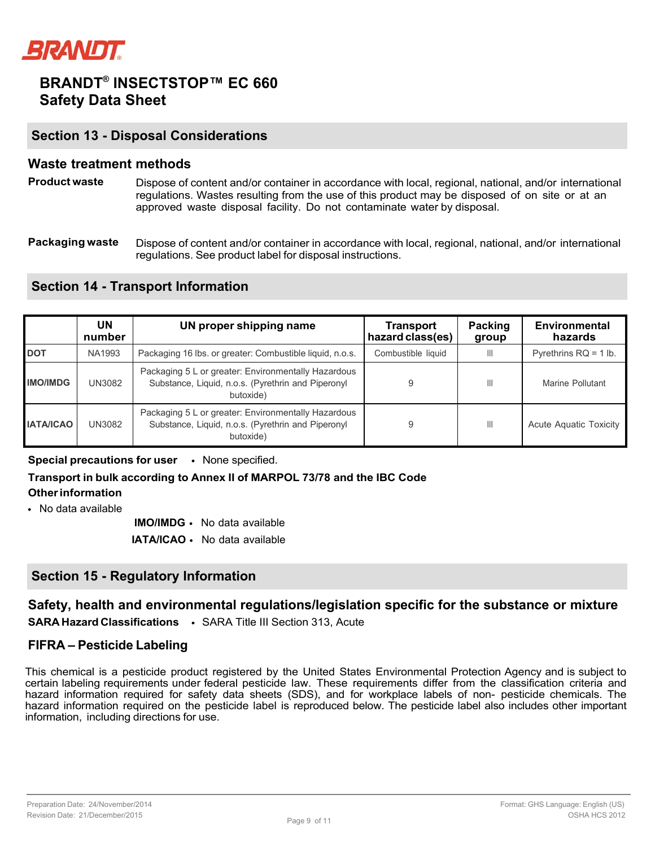

### **Section 13 - Disposal Considerations**

### **Waste treatment methods**

- **Product waste** Dispose of content and/or container in accordance with local, regional, national, and/or international regulations. Wastes resulting from the use of this product may be disposed of on site or at an approved waste disposal facility. Do not contaminate water by disposal.
- **Packaging waste** Dispose of content and/or container in accordance with local, regional, national, and/or international regulations. See product label for disposal instructions.

## **Section 14 - Transport Information**

|                  | UN<br>number | UN proper shipping name                                                                                                | Transport<br>hazard class(es) | <b>Packing</b><br>group | Environmental<br>hazards |
|------------------|--------------|------------------------------------------------------------------------------------------------------------------------|-------------------------------|-------------------------|--------------------------|
| <b>DOT</b>       | NA1993       | Packaging 16 lbs. or greater: Combustible liquid, n.o.s.                                                               | Combustible liquid            | Ш                       | Pyrethrins $RQ = 1$ lb.  |
| <b>IMO/IMDG</b>  | UN3082       | Packaging 5 L or greater: Environmentally Hazardous<br>Substance, Liquid, n.o.s. (Pyrethrin and Piperonyl<br>butoxide) | 9                             | Ш                       | Marine Pollutant         |
| <b>IATA/ICAO</b> | UN3082       | Packaging 5 L or greater: Environmentally Hazardous<br>Substance, Liquid, n.o.s. (Pyrethrin and Piperonyl<br>butoxide) | 9                             | Ш                       | Acute Aguatic Toxicity   |

**Special precautions for user** • None specified.

## **Transport in bulk according to Annex II of MARPOL 73/78 and the IBC Code**

**Other information** • No data available

**IMO/IMDG** • No data available

**IATA/ICAO** • No data available

## **Section 15 - Regulatory Information**

## **Safety, health and environmental regulations/legislation specific for the substance or mixture**

**SARA Hazard Classifications** • SARA Title III Section 313, Acute

### **FIFRA – Pesticide Labeling**

This chemical is a pesticide product registered by the United States Environmental Protection Agency and is subject to certain labeling requirements under federal pesticide law. These requirements differ from the classification criteria and hazard information required for safety data sheets (SDS), and for workplace labels of non- pesticide chemicals. The hazard information required on the pesticide label is reproduced below. The pesticide label also includes other important information, including directions for use.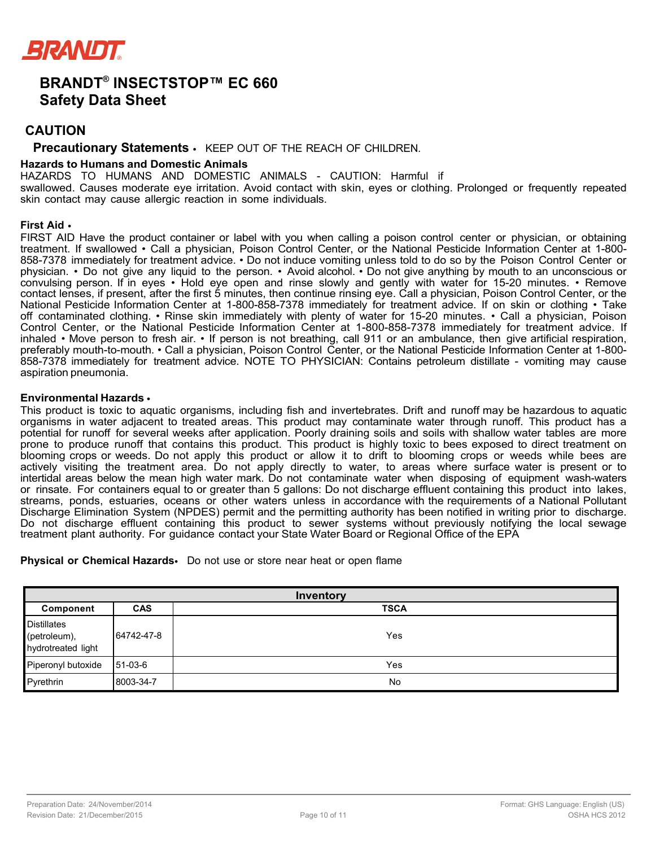

## **CAUTION**

#### **Precautionary Statements** • KEEP OUT OF THE REACH OF CHILDREN.

#### **Hazards to Humans and Domestic Animals**

HAZARDS TO HUMANS AND DOMESTIC ANIMALS - CAUTION: Harmful if

swallowed. Causes moderate eye irritation. Avoid contact with skin, eyes or clothing. Prolonged or frequently repeated skin contact may cause allergic reaction in some individuals.

#### **First Aid** •

FIRST AID Have the product container or label with you when calling a poison control center or physician, or obtaining treatment. If swallowed • Call a physician, Poison Control Center, or the National Pesticide Information Center at 1-800- 858-7378 immediately for treatment advice. • Do not induce vomiting unless told to do so by the Poison Control Center or physician. • Do not give any liquid to the person. • Avoid alcohol. • Do not give anything by mouth to an unconscious or convulsing person. If in eyes • Hold eye open and rinse slowly and gently with water for 15-20 minutes. • Remove contact lenses, if present, after the first 5 minutes, then continue rinsing eye. Call a physician, Poison Control Center, or the National Pesticide Information Center at 1-800-858-7378 immediately for treatment advice. If on skin or clothing • Take off contaminated clothing. • Rinse skin immediately with plenty of water for 15-20 minutes. • Call a physician, Poison Control Center, or the National Pesticide Information Center at 1-800-858-7378 immediately for treatment advice. If inhaled • Move person to fresh air. • If person is not breathing, call 911 or an ambulance, then give artificial respiration, preferably mouth-to-mouth. • Call a physician, Poison Control Center, or the National Pesticide Information Center at 1-800- 858-7378 immediately for treatment advice. NOTE TO PHYSICIAN: Contains petroleum distillate - vomiting may cause aspiration pneumonia.

#### **Environmental Hazards** •

This product is toxic to aquatic organisms, including fish and invertebrates. Drift and runoff may be hazardous to aquatic organisms in water adjacent to treated areas. This product may contaminate water through runoff. This product has a potential for runoff for several weeks after application. Poorly draining soils and soils with shallow water tables are more prone to produce runoff that contains this product. This product is highly toxic to bees exposed to direct treatment on blooming crops or weeds. Do not apply this product or allow it to drift to blooming crops or weeds while bees are actively visiting the treatment area. Do not apply directly to water, to areas where surface water is present or to intertidal areas below the mean high water mark. Do not contaminate water when disposing of equipment wash-waters or rinsate. For containers equal to or greater than 5 gallons: Do not discharge effluent containing this product into lakes, streams, ponds, estuaries, oceans or other waters unless in accordance with the requirements of a National Pollutant Discharge Elimination System (NPDES) permit and the permitting authority has been notified in writing prior to discharge. Do not discharge effluent containing this product to sewer systems without previously notifying the local sewage treatment plant authority. For guidance contact your State Water Board or Regional Office of the EPA

#### **Physical or Chemical Hazards**• Do not use or store near heat or open flame

| Inventory                                                |            |             |  |
|----------------------------------------------------------|------------|-------------|--|
| Component                                                | <b>CAS</b> | <b>TSCA</b> |  |
| <b>Distillates</b><br>(petroleum),<br>hydrotreated light | 64742-47-8 | Yes         |  |
| Piperonyl butoxide 51-03-6                               |            | Yes         |  |
| Pyrethrin                                                | 8003-34-7  | No          |  |